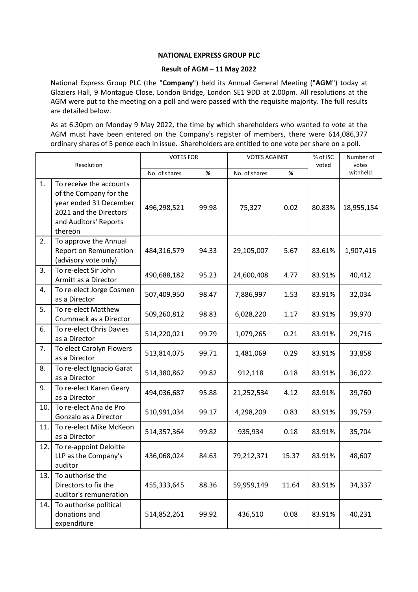## **NATIONAL EXPRESS GROUP PLC**

## **Result of AGM – 11 May 2022**

National Express Group PLC (the "**Company**") held its Annual General Meeting ("**AGM**") today at Glaziers Hall, 9 Montague Close, London Bridge, London SE1 9DD at 2.00pm. All resolutions at the AGM were put to the meeting on a poll and were passed with the requisite majority. The full results are detailed below.

As at 6.30pm on Monday 9 May 2022, the time by which shareholders who wanted to vote at the AGM must have been entered on the Company's register of members, there were 614,086,377 ordinary shares of 5 pence each in issue. Shareholders are entitled to one vote per share on a poll.

| Resolution |                                                                                                                                            | <b>VOTES FOR</b> |       | <b>VOTES AGAINST</b> |       | % of ISC<br>voted | Number of<br>votes |
|------------|--------------------------------------------------------------------------------------------------------------------------------------------|------------------|-------|----------------------|-------|-------------------|--------------------|
|            |                                                                                                                                            | No. of shares    | $\%$  | No. of shares        | %     |                   | withheld           |
| 1.         | To receive the accounts<br>of the Company for the<br>year ended 31 December<br>2021 and the Directors'<br>and Auditors' Reports<br>thereon | 496,298,521      | 99.98 | 75,327               | 0.02  | 80.83%            | 18,955,154         |
| 2.         | To approve the Annual<br><b>Report on Remuneration</b><br>(advisory vote only)                                                             | 484,316,579      | 94.33 | 29,105,007           | 5.67  | 83.61%            | 1,907,416          |
| 3.         | To re-elect Sir John<br>Armitt as a Director                                                                                               | 490,688,182      | 95.23 | 24,600,408           | 4.77  | 83.91%            | 40,412             |
| 4.         | To re-elect Jorge Cosmen<br>as a Director                                                                                                  | 507,409,950      | 98.47 | 7,886,997            | 1.53  | 83.91%            | 32,034             |
| 5.         | To re-elect Matthew<br>Crummack as a Director                                                                                              | 509,260,812      | 98.83 | 6,028,220            | 1.17  | 83.91%            | 39,970             |
| 6.         | To re-elect Chris Davies<br>as a Director                                                                                                  | 514,220,021      | 99.79 | 1,079,265            | 0.21  | 83.91%            | 29,716             |
| 7.         | To elect Carolyn Flowers<br>as a Director                                                                                                  | 513,814,075      | 99.71 | 1,481,069            | 0.29  | 83.91%            | 33,858             |
| 8.         | To re-elect Ignacio Garat<br>as a Director                                                                                                 | 514,380,862      | 99.82 | 912,118              | 0.18  | 83.91%            | 36,022             |
| 9.         | To re-elect Karen Geary<br>as a Director                                                                                                   | 494,036,687      | 95.88 | 21,252,534           | 4.12  | 83.91%            | 39,760             |
| 10.        | To re-elect Ana de Pro<br>Gonzalo as a Director                                                                                            | 510,991,034      | 99.17 | 4,298,209            | 0.83  | 83.91%            | 39,759             |
| 11.        | To re-elect Mike McKeon<br>as a Director                                                                                                   | 514,357,364      | 99.82 | 935,934              | 0.18  | 83.91%            | 35,704             |
| 12.        | To re-appoint Deloitte<br>LLP as the Company's<br>auditor                                                                                  | 436,068,024      | 84.63 | 79,212,371           | 15.37 | 83.91%            | 48,607             |
| 13.        | To authorise the<br>Directors to fix the<br>auditor's remuneration                                                                         | 455,333,645      | 88.36 | 59,959,149           | 11.64 | 83.91%            | 34,337             |
| 14.        | To authorise political<br>donations and<br>expenditure                                                                                     | 514,852,261      | 99.92 | 436,510              | 0.08  | 83.91%            | 40,231             |